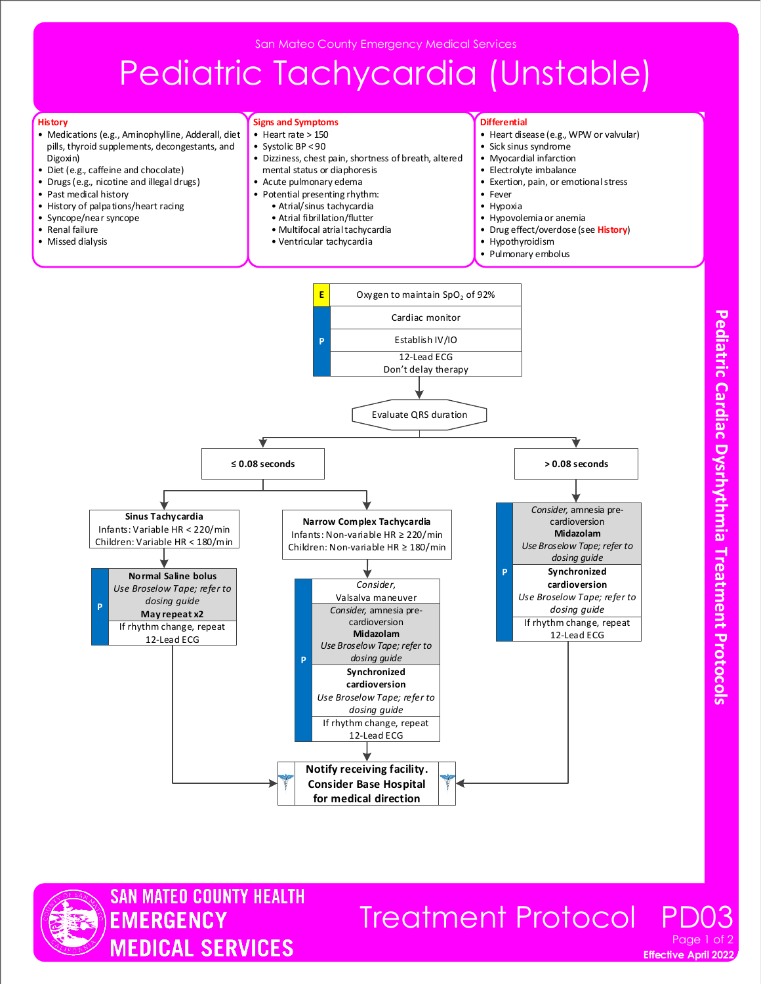San Mateo County Emergency Medical Services

# Pediatric Tachycardia (Unstable)

#### **History**

- Medications (e.g., Aminophylline, Adderall, diet pills, thyroid supplements, decongestants, and Digoxin)
- Diet (e.g., caffeine and chocolate)
- Drugs (e.g., nicotine and illegal drugs)
- Past medical history
- History of palpations/heart racing
- Syncope/near syncope
- Renal failure
- Missed dialysis

#### **Signs and Symptoms**

- Heart rate > 150
- Systolic BP < 90
- Dizziness, chest pain, shortness of breath, altered mental status or diaphoresis
- Acute pulmonary edema
- Potential presenting rhythm:
	- Atrial/sinus tachycardia
	- Atrial fibrillation/flutter • Multifocal atrial tachycardia
	- Ventricular tachycardia

### **Differential**

- Heart disease (e.g., WPW or valvular)
- Sick sinus syndrome
- Myocardial infarction
- Electrolyte imbalance
- Exertion, pain, or emotional stress
- Fever
- Hypoxia
- Hypovolemia or anemia
- Drug effect/overdose (see **History**)
- Hypothyroidism
- Pulmonary embolus





### **Effective April 2022** Treatment Protocol Page